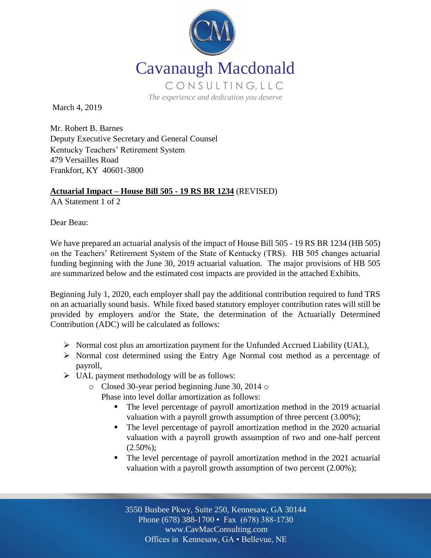

March 4, 2019

Mr. Robert B. Barnes Deputy Executive Secretary and General Counsel Kentucky Teachers' Retirement System 479 Versailles Road Frankfort, KY 40601-3800

### **Actuarial Impact – House Bill 505 - 19 RS BR 1234** (REVISED)

AA Statement 1 of 2

Dear Beau:

We have prepared an actuarial analysis of the impact of House Bill 505 - 19 RS BR 1234 (HB 505) on the Teachers' Retirement System of the State of Kentucky (TRS). HB 505 changes actuarial funding beginning with the June 30, 2019 actuarial valuation. The major provisions of HB 505 are summarized below and the estimated cost impacts are provided in the attached Exhibits.

Beginning July 1, 2020, each employer shall pay the additional contribution required to fund TRS on an actuarially sound basis. While fixed based statutory employer contribution rates will still be provided by employers and/or the State, the determination of the Actuarially Determined Contribution (ADC) will be calculated as follows:

- $\triangleright$  Normal cost plus an amortization payment for the Unfunded Accrued Liability (UAL),
- Normal cost determined using the Entry Age Normal cost method as a percentage of payroll,
- $\triangleright$  UAL payment methodology will be as follows:
	- o Closed 30-year period beginning June 30, 2014 o
		- Phase into level dollar amortization as follows:
			- The level percentage of payroll amortization method in the 2019 actuarial valuation with a payroll growth assumption of three percent (3.00%);
			- The level percentage of payroll amortization method in the 2020 actuarial valuation with a payroll growth assumption of two and one-half percent  $(2.50\%);$
			- The level percentage of payroll amortization method in the 2021 actuarial valuation with a payroll growth assumption of two percent (2.00%);

Off Offices in Kennesaw, GA • Bellevue, NE 3550 Busbee Pkwy, Suite 250, Kennesaw, GA 30144 Phone (678) 388-1700 • Fax (678) 388-1730 www.CavMacConsulting.com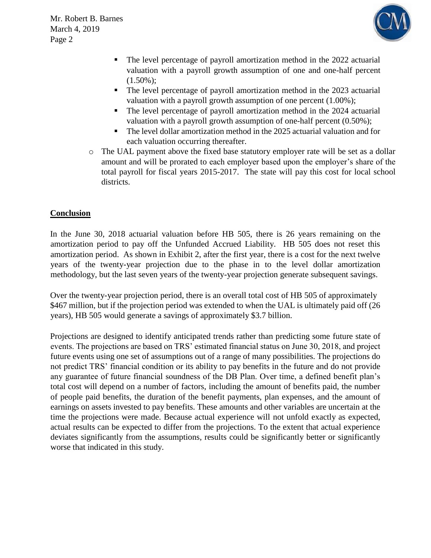Mr. Robert B. Barnes March 4, 2019 Page 2



- The level percentage of payroll amortization method in the 2022 actuarial valuation with a payroll growth assumption of one and one-half percent  $(1.50\%);$
- The level percentage of payroll amortization method in the 2023 actuarial valuation with a payroll growth assumption of one percent (1.00%);
- The level percentage of payroll amortization method in the 2024 actuarial valuation with a payroll growth assumption of one-half percent (0.50%);
- The level dollar amortization method in the 2025 actuarial valuation and for each valuation occurring thereafter.
- o The UAL payment above the fixed base statutory employer rate will be set as a dollar amount and will be prorated to each employer based upon the employer's share of the total payroll for fiscal years 2015-2017. The state will pay this cost for local school districts.

### **Conclusion**

In the June 30, 2018 actuarial valuation before HB 505, there is 26 years remaining on the amortization period to pay off the Unfunded Accrued Liability. HB 505 does not reset this amortization period. As shown in Exhibit 2, after the first year, there is a cost for the next twelve years of the twenty-year projection due to the phase in to the level dollar amortization methodology, but the last seven years of the twenty-year projection generate subsequent savings.

Over the twenty-year projection period, there is an overall total cost of HB 505 of approximately \$467 million, but if the projection period was extended to when the UAL is ultimately paid off (26) years), HB 505 would generate a savings of approximately \$3.7 billion.

Projections are designed to identify anticipated trends rather than predicting some future state of events. The projections are based on TRS' estimated financial status on June 30, 2018, and project future events using one set of assumptions out of a range of many possibilities. The projections do not predict TRS' financial condition or its ability to pay benefits in the future and do not provide any guarantee of future financial soundness of the DB Plan. Over time, a defined benefit plan's total cost will depend on a number of factors, including the amount of benefits paid, the number of people paid benefits, the duration of the benefit payments, plan expenses, and the amount of earnings on assets invested to pay benefits. These amounts and other variables are uncertain at the time the projections were made. Because actual experience will not unfold exactly as expected, actual results can be expected to differ from the projections. To the extent that actual experience deviates significantly from the assumptions, results could be significantly better or significantly worse that indicated in this study.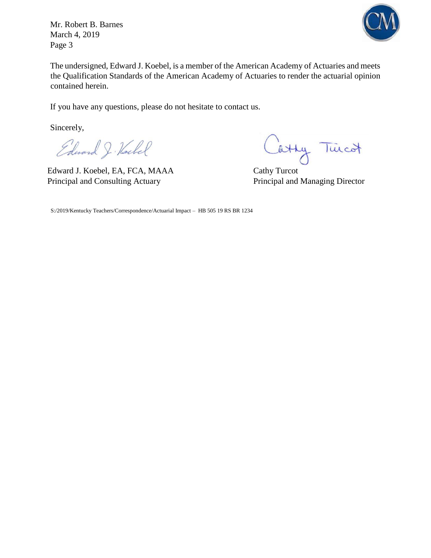Mr. Robert B. Barnes March 4, 2019 Page 3



The undersigned, Edward J. Koebel, is a member of the American Academy of Actuaries and meets the Qualification Standards of the American Academy of Actuaries to render the actuarial opinion contained herein.

If you have any questions, please do not hesitate to contact us.

Sincerely,

Edward J. Hockel

Edward J. Koebel, EA, FCA, MAAA Cathy Turcot Principal and Consulting Actuary Principal and Managing Director

Cathy Tuicot

S:/2019/Kentucky Teachers/Correspondence/Actuarial Impact – HB 505 19 RS BR 1234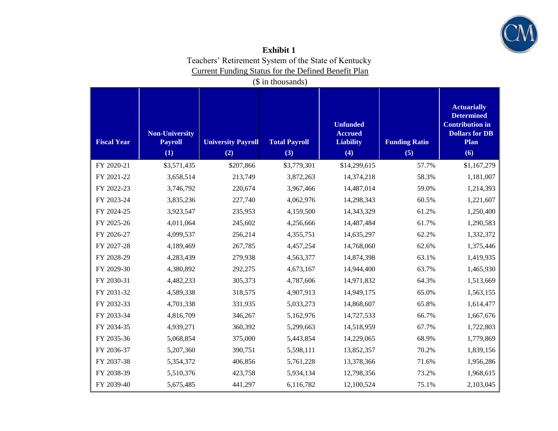

| Exhibit 1                                            |
|------------------------------------------------------|
| Teachers' Retirement System of the State of Kentucky |
| Current Funding Status for the Defined Benefit Plan  |

(\$ in thousands)

| <b>Fiscal Year</b> | <b>Non-University</b><br><b>Payroll</b><br>(1) | <b>University Payroll</b><br>(2) | <b>Total Payroll</b><br>(3) | <b>Unfunded</b><br><b>Accrued</b><br><b>Liability</b><br>(4) | <b>Funding Ratio</b><br>(5) | <b>Actuarially</b><br><b>Determined</b><br><b>Contribution in</b><br><b>Dollars for DB</b><br>Plan<br>(6) |
|--------------------|------------------------------------------------|----------------------------------|-----------------------------|--------------------------------------------------------------|-----------------------------|-----------------------------------------------------------------------------------------------------------|
| FY 2020-21         | \$3,571,435                                    | \$207,866                        | \$3,779,301                 | \$14,299,615                                                 | 57.7%                       | \$1,167,279                                                                                               |
| FY 2021-22         | 3,658,514                                      | 213,749                          | 3,872,263                   | 14,374,218                                                   | 58.3%                       | 1,181,007                                                                                                 |
| FY 2022-23         | 3,746,792                                      | 220,674                          | 3,967,466                   | 14,487,014                                                   | 59.0%                       | 1,214,393                                                                                                 |
| FY 2023-24         | 3,835,236                                      | 227,740                          | 4,062,976                   | 14,298,343                                                   | 60.5%                       | 1,221,607                                                                                                 |
| FY 2024-25         | 3,923,547                                      | 235,953                          | 4,159,500                   | 14,343,329                                                   | 61.2%                       | 1,250,400                                                                                                 |
| FY 2025-26         | 4,011,064                                      | 245,602                          | 4,256,666                   | 14,487,484                                                   | 61.7%                       | 1,290,583                                                                                                 |
| FY 2026-27         | 4,099,537                                      | 256,214                          | 4,355,751                   | 14,635,297                                                   | 62.2%                       | 1,332,372                                                                                                 |
| FY 2027-28         | 4,189,469                                      | 267,785                          | 4,457,254                   | 14,768,060                                                   | 62.6%                       | 1,375,446                                                                                                 |
| FY 2028-29         | 4,283,439                                      | 279,938                          | 4,563,377                   | 14,874,398                                                   | 63.1%                       | 1,419,935                                                                                                 |
| FY 2029-30         | 4,380,892                                      | 292,275                          | 4,673,167                   | 14,944,400                                                   | 63.7%                       | 1,465,930                                                                                                 |
| FY 2030-31         | 4,482,233                                      | 305,373                          | 4,787,606                   | 14,971,832                                                   | 64.3%                       | 1,513,669                                                                                                 |
| FY 2031-32         | 4,589,338                                      | 318,575                          | 4,907,913                   | 14,949,175                                                   | 65.0%                       | 1,563,155                                                                                                 |
| FY 2032-33         | 4,701,338                                      | 331,935                          | 5,033,273                   | 14,868,607                                                   | 65.8%                       | 1,614,477                                                                                                 |
| FY 2033-34         | 4,816,709                                      | 346,267                          | 5,162,976                   | 14,727,533                                                   | 66.7%                       | 1,667,676                                                                                                 |
| FY 2034-35         | 4,939,271                                      | 360,392                          | 5,299,663                   | 14,518,959                                                   | 67.7%                       | 1,722,803                                                                                                 |
| FY 2035-36         | 5,068,854                                      | 375,000                          | 5,443,854                   | 14,229,065                                                   | 68.9%                       | 1,779,869                                                                                                 |
| FY 2036-37         | 5,207,360                                      | 390,751                          | 5,598,111                   | 13,852,357                                                   | 70.2%                       | 1,839,156                                                                                                 |
| FY 2037-38         | 5,354,372                                      | 406,856                          | 5,761,228                   | 13,378,366                                                   | 71.6%                       | 1,956,286                                                                                                 |
| FY 2038-39         | 5,510,376                                      | 423,758                          | 5,934,134                   | 12,798,356                                                   | 73.2%                       | 1,968,615                                                                                                 |
| FY 2039-40         | 5,675,485                                      | 441,297                          | 6,116,782                   | 12,100,524                                                   | 75.1%                       | 2,103,045                                                                                                 |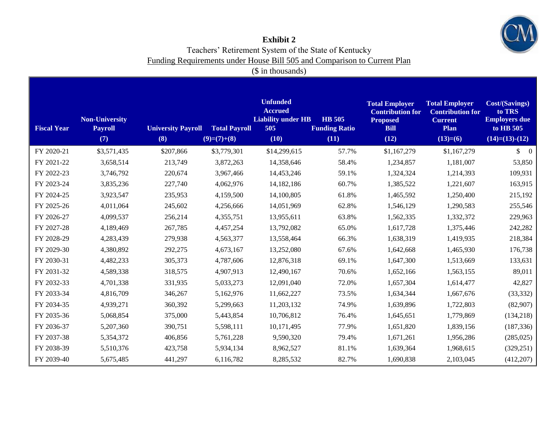

### **Exhibit 2**  Teachers' Retirement System of the State of Kentucky Funding Requirements under House Bill 505 and Comparison to Current Plan

(\$ in thousands)

| <b>Fiscal Year</b> | <b>Non-University</b><br><b>Payroll</b><br>(7) | <b>University Payroll</b><br>(8) | <b>Total Payroll</b><br>$(9)=(7)+(8)$ | <b>Unfunded</b><br><b>Accrued</b><br><b>Liability under HB</b><br>505<br>(10) | <b>HB</b> 505<br><b>Funding Ratio</b><br>(11) | <b>Total Employer</b><br><b>Contribution for</b><br><b>Proposed</b><br><b>Bill</b><br>(12) | <b>Total Employer</b><br><b>Contribution for</b><br><b>Current</b><br>Plan<br>$(13)=(6)$ | <b>Cost/(Savings)</b><br>to TRS<br><b>Employers due</b><br>to HB 505<br>$(14)= (13)-(12)$ |
|--------------------|------------------------------------------------|----------------------------------|---------------------------------------|-------------------------------------------------------------------------------|-----------------------------------------------|--------------------------------------------------------------------------------------------|------------------------------------------------------------------------------------------|-------------------------------------------------------------------------------------------|
| FY 2020-21         | \$3,571,435                                    | \$207,866                        | \$3,779,301                           | \$14,299,615                                                                  | 57.7%                                         | \$1,167,279                                                                                | \$1,167,279                                                                              | $\begin{matrix} 0 \end{matrix}$                                                           |
| FY 2021-22         | 3,658,514                                      | 213,749                          | 3,872,263                             | 14,358,646                                                                    | 58.4%                                         | 1,234,857                                                                                  | 1,181,007                                                                                | 53,850                                                                                    |
| FY 2022-23         | 3,746,792                                      | 220,674                          | 3,967,466                             | 14,453,246                                                                    | 59.1%                                         | 1,324,324                                                                                  | 1,214,393                                                                                | 109,931                                                                                   |
| FY 2023-24         | 3,835,236                                      | 227,740                          | 4,062,976                             | 14,182,186                                                                    | 60.7%                                         | 1,385,522                                                                                  | 1,221,607                                                                                | 163,915                                                                                   |
| FY 2024-25         | 3,923,547                                      | 235,953                          | 4,159,500                             | 14,100,805                                                                    | 61.8%                                         | 1,465,592                                                                                  | 1,250,400                                                                                | 215,192                                                                                   |
| FY 2025-26         | 4,011,064                                      | 245,602                          | 4,256,666                             | 14,051,969                                                                    | 62.8%                                         | 1,546,129                                                                                  | 1,290,583                                                                                | 255,546                                                                                   |
| FY 2026-27         | 4,099,537                                      | 256,214                          | 4,355,751                             | 13,955,611                                                                    | 63.8%                                         | 1,562,335                                                                                  | 1,332,372                                                                                | 229,963                                                                                   |
| FY 2027-28         | 4,189,469                                      | 267,785                          | 4,457,254                             | 13,792,082                                                                    | 65.0%                                         | 1,617,728                                                                                  | 1,375,446                                                                                | 242,282                                                                                   |
| FY 2028-29         | 4,283,439                                      | 279,938                          | 4,563,377                             | 13,558,464                                                                    | 66.3%                                         | 1,638,319                                                                                  | 1,419,935                                                                                | 218,384                                                                                   |
| FY 2029-30         | 4,380,892                                      | 292,275                          | 4,673,167                             | 13,252,080                                                                    | 67.6%                                         | 1,642,668                                                                                  | 1,465,930                                                                                | 176,738                                                                                   |
| FY 2030-31         | 4,482,233                                      | 305,373                          | 4,787,606                             | 12,876,318                                                                    | 69.1%                                         | 1,647,300                                                                                  | 1,513,669                                                                                | 133,631                                                                                   |
| FY 2031-32         | 4,589,338                                      | 318,575                          | 4,907,913                             | 12,490,167                                                                    | 70.6%                                         | 1,652,166                                                                                  | 1,563,155                                                                                | 89,011                                                                                    |
| FY 2032-33         | 4,701,338                                      | 331,935                          | 5,033,273                             | 12,091,040                                                                    | 72.0%                                         | 1,657,304                                                                                  | 1,614,477                                                                                | 42,827                                                                                    |
| FY 2033-34         | 4,816,709                                      | 346,267                          | 5,162,976                             | 11,662,227                                                                    | 73.5%                                         | 1,634,344                                                                                  | 1,667,676                                                                                | (33, 332)                                                                                 |
| FY 2034-35         | 4,939,271                                      | 360,392                          | 5,299,663                             | 11,203,132                                                                    | 74.9%                                         | 1,639,896                                                                                  | 1,722,803                                                                                | (82,907)                                                                                  |
| FY 2035-36         | 5,068,854                                      | 375,000                          | 5,443,854                             | 10,706,812                                                                    | 76.4%                                         | 1,645,651                                                                                  | 1,779,869                                                                                | (134,218)                                                                                 |
| FY 2036-37         | 5,207,360                                      | 390,751                          | 5,598,111                             | 10,171,495                                                                    | 77.9%                                         | 1,651,820                                                                                  | 1,839,156                                                                                | (187, 336)                                                                                |
| FY 2037-38         | 5,354,372                                      | 406,856                          | 5,761,228                             | 9,590,320                                                                     | 79.4%                                         | 1,671,261                                                                                  | 1,956,286                                                                                | (285, 025)                                                                                |
| FY 2038-39         | 5,510,376                                      | 423,758                          | 5,934,134                             | 8,962,527                                                                     | 81.1%                                         | 1,639,364                                                                                  | 1,968,615                                                                                | (329, 251)                                                                                |
| FY 2039-40         | 5,675,485                                      | 441,297                          | 6,116,782                             | 8,285,532                                                                     | 82.7%                                         | 1,690,838                                                                                  | 2,103,045                                                                                | (412, 207)                                                                                |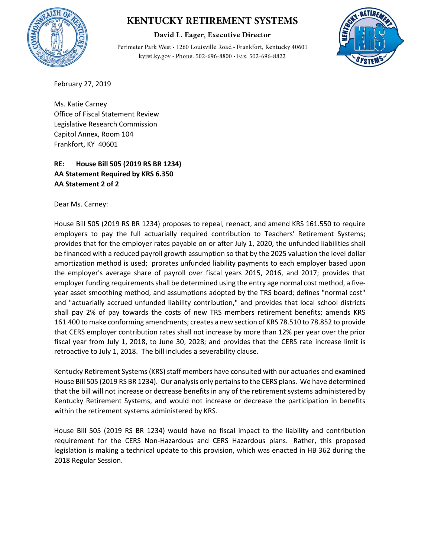

# **KENTUCKY RETIREMENT SYSTEMS**

David L. Eager, Executive Director

Perimeter Park West · 1260 Louisville Road · Frankfort, Kentucky 40601 kyret.ky.gov · Phone: 502-696-8800 · Fax: 502-696-8822



February 27, 2019

Ms. Katie Carney Office of Fiscal Statement Review Legislative Research Commission Capitol Annex, Room 104 Frankfort, KY 40601

### **RE: House Bill 505 (2019 RS BR 1234) AA Statement Required by KRS 6.350 AA Statement 2 of 2**

Dear Ms. Carney:

House Bill 505 (2019 RS BR 1234) proposes to repeal, reenact, and amend KRS 161.550 to require employers to pay the full actuarially required contribution to Teachers' Retirement Systems; provides that for the employer rates payable on or after July 1, 2020, the unfunded liabilities shall be financed with a reduced payroll growth assumption so that by the 2025 valuation the level dollar amortization method is used; prorates unfunded liability payments to each employer based upon the employer's average share of payroll over fiscal years 2015, 2016, and 2017; provides that employer funding requirements shall be determined using the entry age normal cost method, a fiveyear asset smoothing method, and assumptions adopted by the TRS board; defines "normal cost" and "actuarially accrued unfunded liability contribution," and provides that local school districts shall pay 2% of pay towards the costs of new TRS members retirement benefits; amends KRS 161.400 to make conforming amendments; creates a new section of KRS 78.510 to 78.852 to provide that CERS employer contribution rates shall not increase by more than 12% per year over the prior fiscal year from July 1, 2018, to June 30, 2028; and provides that the CERS rate increase limit is retroactive to July 1, 2018. The bill includes a severability clause.

Kentucky Retirement Systems (KRS) staff members have consulted with our actuaries and examined House Bill 505 (2019 RS BR 1234). Our analysis only pertains to the CERS plans. We have determined that the bill will not increase or decrease benefits in any of the retirement systems administered by Kentucky Retirement Systems, and would not increase or decrease the participation in benefits within the retirement systems administered by KRS.

House Bill 505 (2019 RS BR 1234) would have no fiscal impact to the liability and contribution requirement for the CERS Non-Hazardous and CERS Hazardous plans. Rather, this proposed legislation is making a technical update to this provision, which was enacted in HB 362 during the 2018 Regular Session.